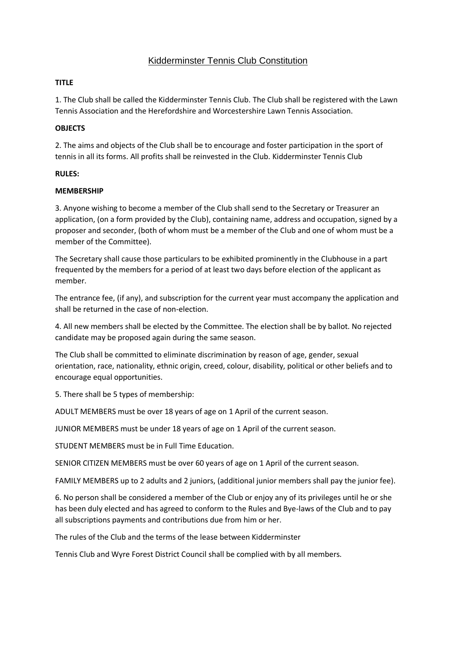# Kidderminster Tennis Club Constitution

# **TITLE**

1. The Club shall be called the Kidderminster Tennis Club. The Club shall be registered with the Lawn Tennis Association and the Herefordshire and Worcestershire Lawn Tennis Association.

# **OBJECTS**

2. The aims and objects of the Club shall be to encourage and foster participation in the sport of tennis in all its forms. All profits shall be reinvested in the Club. Kidderminster Tennis Club

### **RULES:**

### **MEMBERSHIP**

3. Anyone wishing to become a member of the Club shall send to the Secretary or Treasurer an application, (on a form provided by the Club), containing name, address and occupation, signed by a proposer and seconder, (both of whom must be a member of the Club and one of whom must be a member of the Committee).

The Secretary shall cause those particulars to be exhibited prominently in the Clubhouse in a part frequented by the members for a period of at least two days before election of the applicant as member.

The entrance fee, (if any), and subscription for the current year must accompany the application and shall be returned in the case of non-election.

4. All new members shall be elected by the Committee. The election shall be by ballot. No rejected candidate may be proposed again during the same season.

The Club shall be committed to eliminate discrimination by reason of age, gender, sexual orientation, race, nationality, ethnic origin, creed, colour, disability, political or other beliefs and to encourage equal opportunities.

5. There shall be 5 types of membership:

ADULT MEMBERS must be over 18 years of age on 1 April of the current season.

JUNIOR MEMBERS must be under 18 years of age on 1 April of the current season.

STUDENT MEMBERS must be in Full Time Education.

SENIOR CITIZEN MEMBERS must be over 60 years of age on 1 April of the current season.

FAMILY MEMBERS up to 2 adults and 2 juniors, (additional junior members shall pay the junior fee).

6. No person shall be considered a member of the Club or enjoy any of its privileges until he or she has been duly elected and has agreed to conform to the Rules and Bye-laws of the Club and to pay all subscriptions payments and contributions due from him or her.

The rules of the Club and the terms of the lease between Kidderminster

Tennis Club and Wyre Forest District Council shall be complied with by all members.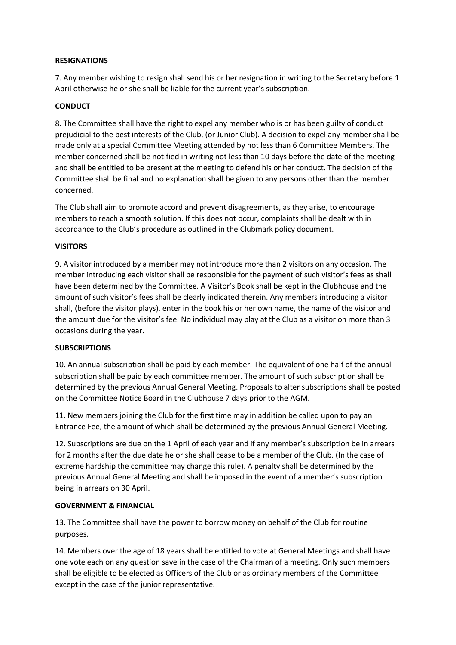#### **RESIGNATIONS**

7. Any member wishing to resign shall send his or her resignation in writing to the Secretary before 1 April otherwise he or she shall be liable for the current year's subscription.

# **CONDUCT**

8. The Committee shall have the right to expel any member who is or has been guilty of conduct prejudicial to the best interests of the Club, (or Junior Club). A decision to expel any member shall be made only at a special Committee Meeting attended by not less than 6 Committee Members. The member concerned shall be notified in writing not less than 10 days before the date of the meeting and shall be entitled to be present at the meeting to defend his or her conduct. The decision of the Committee shall be final and no explanation shall be given to any persons other than the member concerned.

The Club shall aim to promote accord and prevent disagreements, as they arise, to encourage members to reach a smooth solution. If this does not occur, complaints shall be dealt with in accordance to the Club's procedure as outlined in the Clubmark policy document.

### **VISITORS**

9. A visitor introduced by a member may not introduce more than 2 visitors on any occasion. The member introducing each visitor shall be responsible for the payment of such visitor's fees as shall have been determined by the Committee. A Visitor's Book shall be kept in the Clubhouse and the amount of such visitor's fees shall be clearly indicated therein. Any members introducing a visitor shall, (before the visitor plays), enter in the book his or her own name, the name of the visitor and the amount due for the visitor's fee. No individual may play at the Club as a visitor on more than 3 occasions during the year.

### **SUBSCRIPTIONS**

10. An annual subscription shall be paid by each member. The equivalent of one half of the annual subscription shall be paid by each committee member. The amount of such subscription shall be determined by the previous Annual General Meeting. Proposals to alter subscriptions shall be posted on the Committee Notice Board in the Clubhouse 7 days prior to the AGM.

11. New members joining the Club for the first time may in addition be called upon to pay an Entrance Fee, the amount of which shall be determined by the previous Annual General Meeting.

12. Subscriptions are due on the 1 April of each year and if any member's subscription be in arrears for 2 months after the due date he or she shall cease to be a member of the Club. (In the case of extreme hardship the committee may change this rule). A penalty shall be determined by the previous Annual General Meeting and shall be imposed in the event of a member's subscription being in arrears on 30 April.

### **GOVERNMENT & FINANCIAL**

13. The Committee shall have the power to borrow money on behalf of the Club for routine purposes.

14. Members over the age of 18 years shall be entitled to vote at General Meetings and shall have one vote each on any question save in the case of the Chairman of a meeting. Only such members shall be eligible to be elected as Officers of the Club or as ordinary members of the Committee except in the case of the junior representative.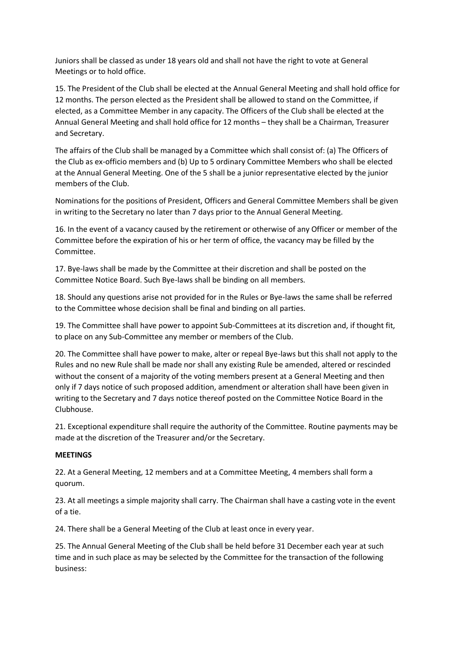Juniors shall be classed as under 18 years old and shall not have the right to vote at General Meetings or to hold office.

15. The President of the Club shall be elected at the Annual General Meeting and shall hold office for 12 months. The person elected as the President shall be allowed to stand on the Committee, if elected, as a Committee Member in any capacity. The Officers of the Club shall be elected at the Annual General Meeting and shall hold office for 12 months – they shall be a Chairman, Treasurer and Secretary.

The affairs of the Club shall be managed by a Committee which shall consist of: (a) The Officers of the Club as ex-officio members and (b) Up to 5 ordinary Committee Members who shall be elected at the Annual General Meeting. One of the 5 shall be a junior representative elected by the junior members of the Club.

Nominations for the positions of President, Officers and General Committee Members shall be given in writing to the Secretary no later than 7 days prior to the Annual General Meeting.

16. In the event of a vacancy caused by the retirement or otherwise of any Officer or member of the Committee before the expiration of his or her term of office, the vacancy may be filled by the Committee.

17. Bye-laws shall be made by the Committee at their discretion and shall be posted on the Committee Notice Board. Such Bye-laws shall be binding on all members.

18. Should any questions arise not provided for in the Rules or Bye-laws the same shall be referred to the Committee whose decision shall be final and binding on all parties.

19. The Committee shall have power to appoint Sub-Committees at its discretion and, if thought fit, to place on any Sub-Committee any member or members of the Club.

20. The Committee shall have power to make, alter or repeal Bye-laws but this shall not apply to the Rules and no new Rule shall be made nor shall any existing Rule be amended, altered or rescinded without the consent of a majority of the voting members present at a General Meeting and then only if 7 days notice of such proposed addition, amendment or alteration shall have been given in writing to the Secretary and 7 days notice thereof posted on the Committee Notice Board in the Clubhouse.

21. Exceptional expenditure shall require the authority of the Committee. Routine payments may be made at the discretion of the Treasurer and/or the Secretary.

#### **MEETINGS**

22. At a General Meeting, 12 members and at a Committee Meeting, 4 members shall form a quorum.

23. At all meetings a simple majority shall carry. The Chairman shall have a casting vote in the event of a tie.

24. There shall be a General Meeting of the Club at least once in every year.

25. The Annual General Meeting of the Club shall be held before 31 December each year at such time and in such place as may be selected by the Committee for the transaction of the following business: